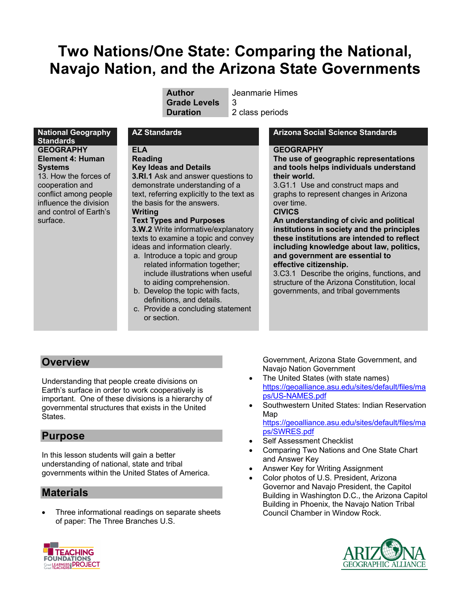# **Two Nations/One State: Comparing the National, Navajo Nation, and the Arizona State Governments**

**Author** Jeanmarie Himes **Grade Levels** 3

**Duration** 2 class periods

#### **National Geography Standards GEOGRAPHY Element 4: Human Systems**

13. How the forces of cooperation and conflict among people influence the division and control of Earth's surface.

**ELA Reading**

**Key Ideas and Details 3.RI.1** Ask and answer questions to demonstrate understanding of a

text, referring explicitly to the text as the basis for the answers. **Writing**

### **Text Types and Purposes**

**3.W.2** Write informative/explanatory texts to examine a topic and convey ideas and information clearly.

- a. Introduce a topic and group related information together; include illustrations when useful to aiding comprehension.
- b. Develop the topic with facts, definitions, and details.
- c. Provide a concluding statement or section.

# **AZ Standards Arizona Social Science Standards**

### **GEOGRAPHY**

**The use of geographic representations and tools helps individuals understand their world.**

3.G1.1 Use and construct maps and graphs to represent changes in Arizona over time. **CIVICS**

**An understanding of civic and political institutions in society and the principles these institutions are intended to reflect including knowledge about law, politics, and government are essential to effective citizenship.**

3.C3.1 Describe the origins, functions, and structure of the Arizona Constitution, local governments, and tribal governments

# **Overview**

Understanding that people create divisions on Earth's surface in order to work cooperatively is important. One of these divisions is a hierarchy of governmental structures that exists in the United States.

# **Purpose**

In this lesson students will gain a better understanding of national, state and tribal governments within the United States of America.

# **Materials**

• Three informational readings on separate sheets of paper: The Three Branches U.S.

Government, Arizona State Government, and Navajo Nation Government

- The United States (with state names) https://geoalliance.asu.edu/sites/default/files/ma ps/US-NAMES.pdf
- Southwestern United States: Indian Reservation Map

https://geoalliance.asu.edu/sites/default/files/ma ps/SWRES.pdf

- Self Assessment Checklist
- Comparing Two Nations and One State Chart and Answer Key
- Answer Key for Writing Assignment
- Color photos of U.S. President, Arizona Governor and Navajo President, the Capitol Building in Washington D.C., the Arizona Capitol Building in Phoenix, the Navajo Nation Tribal Council Chamber in Window Rock.



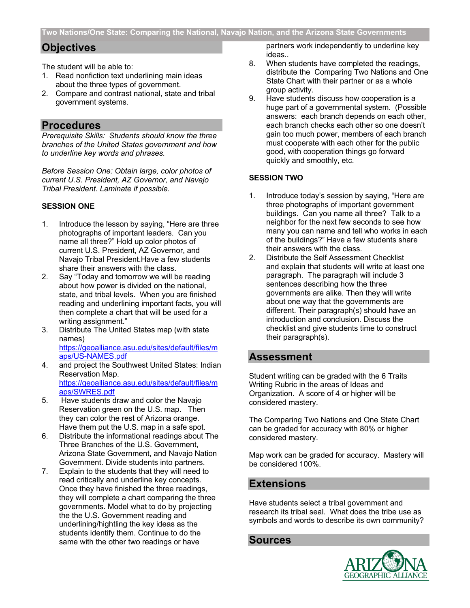# **Objectives**

The student will be able to:

- 1. Read nonfiction text underlining main ideas about the three types of government.
- 2. Compare and contrast national, state and tribal government systems.

# **Procedures**

*Prerequisite Skills: Students should know the three branches of the United States government and how to underline key words and phrases.*

*Before Session One: Obtain large, color photos of current U.S. President, AZ Governor, and Navajo Tribal President. Laminate if possible.*

#### **SESSION ONE**

- 1. Introduce the lesson by saying, "Here are three photographs of important leaders. Can you name all three?" Hold up color photos of current U.S. President, AZ Governor, and Navajo Tribal President.Have a few students share their answers with the class.
- 2. Say "Today and tomorrow we will be reading about how power is divided on the national, state, and tribal levels. When you are finished reading and underlining important facts, you will then complete a chart that will be used for a writing assignment."
- 3. Distribute The United States map (with state names) https://geoalliance.asu.edu/sites/default/files/m aps/US-NAMES.pdf
- 4. and project the Southwest United States: Indian Reservation Map. https://geoalliance.asu.edu/sites/default/files/m aps/SWRES.pdf
- 5. Have students draw and color the Navajo Reservation green on the U.S. map. Then they can color the rest of Arizona orange. Have them put the U.S. map in a safe spot.
- 6. Distribute the informational readings about The Three Branches of the U.S. Government, Arizona State Government, and Navajo Nation Government. Divide students into partners.
- 7. Explain to the students that they will need to read critically and underline key concepts. Once they have finished the three readings, they will complete a chart comparing the three governments. Model what to do by projecting the the U.S. Government reading and underlining/hightling the key ideas as the students identify them. Continue to do the same with the other two readings or have

partners work independently to underline key ideas..

- 8. When students have completed the readings, distribute the Comparing Two Nations and One State Chart with their partner or as a whole group activity.
- 9. Have students discuss how cooperation is a huge part of a governmental system. (Possible answers: each branch depends on each other, each branch checks each other so one doesn't gain too much power, members of each branch must cooperate with each other for the public good, with cooperation things go forward quickly and smoothly, etc.

# **SESSION TWO**

- 1. Introduce today's session by saying, "Here are three photographs of important government buildings. Can you name all three? Talk to a neighbor for the next few seconds to see how many you can name and tell who works in each of the buildings?" Have a few students share their answers with the class.
- 2. Distribute the Self Assessment Checklist and explain that students will write at least one paragraph. The paragraph will include 3 sentences describing how the three governments are alike. Then they will write about one way that the governments are different. Their paragraph(s) should have an introduction and conclusion. Discuss the checklist and give students time to construct their paragraph(s).

# **Assessment**

Student writing can be graded with the 6 Traits Writing Rubric in the areas of Ideas and Organization. A score of 4 or higher will be considered mastery.

The Comparing Two Nations and One State Chart can be graded for accuracy with 80% or higher considered mastery.

Map work can be graded for accuracy. Mastery will be considered 100%.

# **Extensions**

Have students select a tribal government and research its tribal seal. What does the tribe use as symbols and words to describe its own community?

# **Sources**